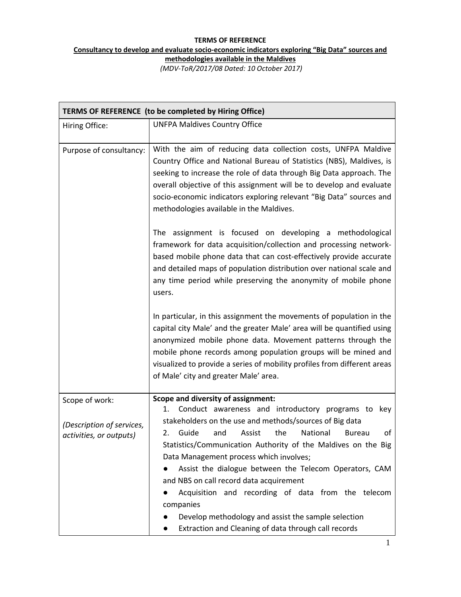## **TERMS OF REFERENCE Consultancy to develop and evaluate socio‐economic indicators exploring "Big Data" sources and methodologies available in the Maldives**

*(MDV‐ToR/2017/08 Dated: 10 October 2017)*

| TERMS OF REFERENCE (to be completed by Hiring Office)                  |                                                                                                                                                                                                                                                                                                                                                                                                                                                                                                                                                                                                                                               |  |
|------------------------------------------------------------------------|-----------------------------------------------------------------------------------------------------------------------------------------------------------------------------------------------------------------------------------------------------------------------------------------------------------------------------------------------------------------------------------------------------------------------------------------------------------------------------------------------------------------------------------------------------------------------------------------------------------------------------------------------|--|
| Hiring Office:                                                         | <b>UNFPA Maldives Country Office</b>                                                                                                                                                                                                                                                                                                                                                                                                                                                                                                                                                                                                          |  |
| Purpose of consultancy:                                                | With the aim of reducing data collection costs, UNFPA Maldive<br>Country Office and National Bureau of Statistics (NBS), Maldives, is<br>seeking to increase the role of data through Big Data approach. The<br>overall objective of this assignment will be to develop and evaluate<br>socio-economic indicators exploring relevant "Big Data" sources and<br>methodologies available in the Maldives.                                                                                                                                                                                                                                       |  |
|                                                                        | The assignment is focused on developing a methodological<br>framework for data acquisition/collection and processing network-<br>based mobile phone data that can cost-effectively provide accurate<br>and detailed maps of population distribution over national scale and<br>any time period while preserving the anonymity of mobile phone<br>users.                                                                                                                                                                                                                                                                                       |  |
|                                                                        | In particular, in this assignment the movements of population in the<br>capital city Male' and the greater Male' area will be quantified using<br>anonymized mobile phone data. Movement patterns through the<br>mobile phone records among population groups will be mined and<br>visualized to provide a series of mobility profiles from different areas<br>of Male' city and greater Male' area.                                                                                                                                                                                                                                          |  |
| Scope of work:<br>(Description of services,<br>activities, or outputs) | <b>Scope and diversity of assignment:</b><br>Conduct awareness and introductory programs to key<br>1.<br>stakeholders on the use and methods/sources of Big data<br>the<br>Guide<br>and<br>Assist<br>National<br>οf<br>2.<br><b>Bureau</b><br>Statistics/Communication Authority of the Maldives on the Big<br>Data Management process which involves;<br>Assist the dialogue between the Telecom Operators, CAM<br>and NBS on call record data acquirement<br>Acquisition and recording of data from the telecom<br>companies<br>Develop methodology and assist the sample selection<br>Extraction and Cleaning of data through call records |  |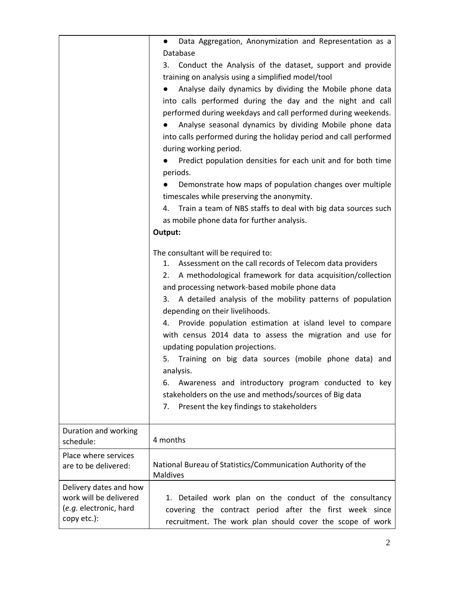|                                                                                           | Data Aggregation, Anonymization and Representation as a<br>$\bullet$                                                                                                                                                                                                                                                                                                                                                                                                                                                                                                                                                                                                                                                                                                                             |
|-------------------------------------------------------------------------------------------|--------------------------------------------------------------------------------------------------------------------------------------------------------------------------------------------------------------------------------------------------------------------------------------------------------------------------------------------------------------------------------------------------------------------------------------------------------------------------------------------------------------------------------------------------------------------------------------------------------------------------------------------------------------------------------------------------------------------------------------------------------------------------------------------------|
|                                                                                           | Database<br>Conduct the Analysis of the dataset, support and provide<br>3.<br>training on analysis using a simplified model/tool<br>Analyse daily dynamics by dividing the Mobile phone data<br>into calls performed during the day and the night and call<br>performed during weekdays and call performed during weekends.<br>Analyse seasonal dynamics by dividing Mobile phone data<br>into calls performed during the holiday period and call performed<br>during working period.<br>Predict population densities for each unit and for both time<br>periods.<br>Demonstrate how maps of population changes over multiple<br>timescales while preserving the anonymity.<br>Train a team of NBS staffs to deal with big data sources such<br>4.<br>as mobile phone data for further analysis. |
|                                                                                           | Output:                                                                                                                                                                                                                                                                                                                                                                                                                                                                                                                                                                                                                                                                                                                                                                                          |
|                                                                                           | The consultant will be required to:<br>Assessment on the call records of Telecom data providers<br>1.<br>A methodological framework for data acquisition/collection<br>2.<br>and processing network-based mobile phone data<br>3. A detailed analysis of the mobility patterns of population<br>depending on their livelihoods.<br>4. Provide population estimation at island level to compare<br>with census 2014 data to assess the migration and use for<br>updating population projections.<br>5. Training on big data sources (mobile phone data) and<br>analysis.<br>Awareness and introductory program conducted to key<br>6.<br>stakeholders on the use and methods/sources of Big data<br>Present the key findings to stakeholders<br>7.                                                |
| Duration and working<br>schedule:                                                         | 4 months                                                                                                                                                                                                                                                                                                                                                                                                                                                                                                                                                                                                                                                                                                                                                                                         |
| Place where services<br>are to be delivered:                                              | National Bureau of Statistics/Communication Authority of the<br><b>Maldives</b>                                                                                                                                                                                                                                                                                                                                                                                                                                                                                                                                                                                                                                                                                                                  |
| Delivery dates and how<br>work will be delivered<br>(e.g. electronic, hard<br>copy etc.): | 1. Detailed work plan on the conduct of the consultancy<br>covering the contract period after the first week since<br>recruitment. The work plan should cover the scope of work                                                                                                                                                                                                                                                                                                                                                                                                                                                                                                                                                                                                                  |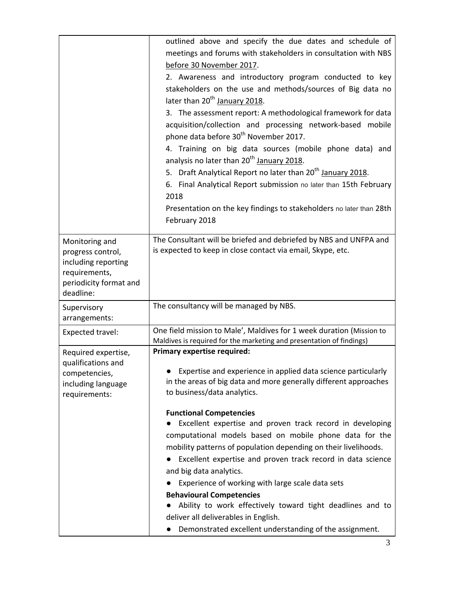| outlined above and specify the due dates and schedule of<br>meetings and forums with stakeholders in consultation with NBS<br>before 30 November 2017.<br>2. Awareness and introductory program conducted to key<br>stakeholders on the use and methods/sources of Big data no<br>later than 20 <sup>th</sup> January 2018.<br>3. The assessment report: A methodological framework for data<br>acquisition/collection and processing network-based mobile<br>phone data before 30 <sup>th</sup> November 2017.<br>4. Training on big data sources (mobile phone data) and                                                                                                          |
|-------------------------------------------------------------------------------------------------------------------------------------------------------------------------------------------------------------------------------------------------------------------------------------------------------------------------------------------------------------------------------------------------------------------------------------------------------------------------------------------------------------------------------------------------------------------------------------------------------------------------------------------------------------------------------------|
| analysis no later than 20 <sup>th</sup> January 2018.<br>5. Draft Analytical Report no later than 20 <sup>th</sup> January 2018.<br>6. Final Analytical Report submission no later than 15th February<br>2018<br>Presentation on the key findings to stakeholders no later than 28th<br>February 2018                                                                                                                                                                                                                                                                                                                                                                               |
| The Consultant will be briefed and debriefed by NBS and UNFPA and<br>is expected to keep in close contact via email, Skype, etc.                                                                                                                                                                                                                                                                                                                                                                                                                                                                                                                                                    |
| The consultancy will be managed by NBS.                                                                                                                                                                                                                                                                                                                                                                                                                                                                                                                                                                                                                                             |
| One field mission to Male', Maldives for 1 week duration (Mission to<br>Maldives is required for the marketing and presentation of findings)                                                                                                                                                                                                                                                                                                                                                                                                                                                                                                                                        |
| <b>Primary expertise required:</b><br>• Expertise and experience in applied data science particularly<br>in the areas of big data and more generally different approaches<br>to business/data analytics.<br><b>Functional Competencies</b><br>Excellent expertise and proven track record in developing<br>computational models based on mobile phone data for the<br>mobility patterns of population depending on their livelihoods.<br>Excellent expertise and proven track record in data science<br>and big data analytics.<br>Experience of working with large scale data sets<br><b>Behavioural Competencies</b><br>Ability to work effectively toward tight deadlines and to |
|                                                                                                                                                                                                                                                                                                                                                                                                                                                                                                                                                                                                                                                                                     |